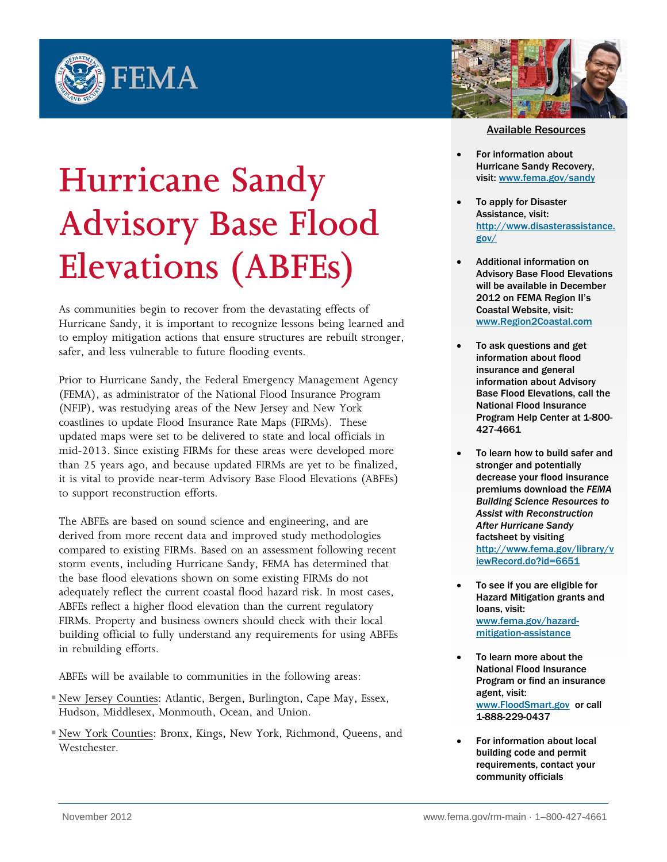



## Available Resources

- For information about Hurricane Sandy Recovery, visit: [www.fema.gov/sandy](http://www.fema.gov/sandy)
	- To apply for Disaster Assistance, visit: [http://www.disasterassistance.](http://www.disasterassistance.gov/) [gov/](http://www.disasterassistance.gov/)
- Additional information on Advisory Base Flood Elevations will be available in December 2012 on FEMA Region II's Coastal Website, visit: [www.Region2Coastal.com](http://www.region2coastal.com/)
- To ask questions and get information about flood insurance and general information about Advisory Base Flood Elevations, call the National Flood Insurance Program Help Center at 1-800- 427-4661
- To learn how to build safer and stronger and potentially decrease your flood insurance premiums download the *FEMA Building Science Resources to Assist with Reconstruction After Hurricane Sandy* factsheet by visiting [http://www.fema.gov/library/v](http://www.fema.gov/library/viewRecord.do?id=6651) [iewRecord.do?id=6651](http://www.fema.gov/library/viewRecord.do?id=6651)
- To see if you are eligible for Hazard Mitigation grants and loans, visit: [www.fema.gov/hazard](http://www.fema.gov/hazard-mitigation-assistance)[mitigation-assistance](http://www.fema.gov/hazard-mitigation-assistance)
- To learn more about the National Flood Insurance Program or find an insurance agent, visit: [www.FloodSmart.gov](http://www.floodsmart.gov/) or call 1-888-229-0437
- For information about local building code and permit requirements, contact your community officials

## **Hurricane Sandy Advisory Base Flood Elevations (ABFEs)**

As communities begin to recover from the devastating effects of Hurricane Sandy, it is important to recognize lessons being learned and to employ mitigation actions that ensure structures are rebuilt stronger, safer, and less vulnerable to future flooding events.

Prior to Hurricane Sandy, the Federal Emergency Management Agency (FEMA), as administrator of the National Flood Insurance Program (NFIP), was restudying areas of the New Jersey and New York coastlines to update Flood Insurance Rate Maps (FIRMs). These updated maps were set to be delivered to state and local officials in mid-2013. Since existing FIRMs for these areas were developed more than 25 years ago, and because updated FIRMs are yet to be finalized, it is vital to provide near-term Advisory Base Flood Elevations (ABFEs) to support reconstruction efforts.

The ABFEs are based on sound science and engineering, and are derived from more recent data and improved study methodologies compared to existing FIRMs. Based on an assessment following recent storm events, including Hurricane Sandy, FEMA has determined that the base flood elevations shown on some existing FIRMs do not adequately reflect the current coastal flood hazard risk. In most cases, ABFEs reflect a higher flood elevation than the current regulatory FIRMs. Property and business owners should check with their local building official to fully understand any requirements for using ABFEs in rebuilding efforts.

ABFEs will be available to communities in the following areas:

- New Jersey Counties: Atlantic, Bergen, Burlington, Cape May, Essex, Hudson, Middlesex, Monmouth, Ocean, and Union.
- New York Counties: Bronx, Kings, New York, Richmond, Queens, and Westchester.